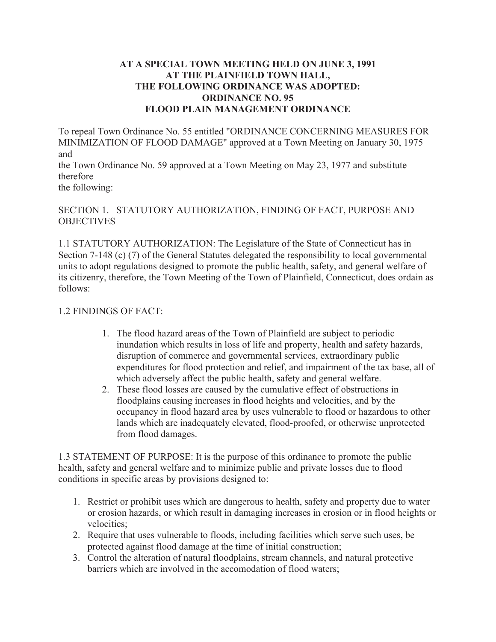### **AT A SPECIAL TOWN MEETING HELD ON JUNE 3, 1991 AT THE PLAINFIELD TOWN HALL, THE FOLLOWING ORDINANCE WAS ADOPTED: ORDINANCE NO. 95 FLOOD PLAIN MANAGEMENT ORDINANCE**

To repeal Town Ordinance No. 55 entitled "ORDINANCE CONCERNING MEASURES FOR MINIMIZATION OF FLOOD DAMAGE" approved at a Town Meeting on January 30, 1975 and

the Town Ordinance No. 59 approved at a Town Meeting on May 23, 1977 and substitute therefore

the following:

### SECTION 1. STATUTORY AUTHORIZATION, FINDING OF FACT, PURPOSE AND **OBJECTIVES**

1.1 STATUTORY AUTHORIZATION: The Legislature of the State of Connecticut has in Section 7-148 (c) (7) of the General Statutes delegated the responsibility to local governmental units to adopt regulations designed to promote the public health, safety, and general welfare of its citizenry, therefore, the Town Meeting of the Town of Plainfield, Connecticut, does ordain as follows:

#### 1.2 FINDINGS OF FACT:

- 1. The flood hazard areas of the Town of Plainfield are subject to periodic inundation which results in loss of life and property, health and safety hazards, disruption of commerce and governmental services, extraordinary public expenditures for flood protection and relief, and impairment of the tax base, all of which adversely affect the public health, safety and general welfare.
- 2. These flood losses are caused by the cumulative effect of obstructions in floodplains causing increases in flood heights and velocities, and by the occupancy in flood hazard area by uses vulnerable to flood or hazardous to other lands which are inadequately elevated, flood-proofed, or otherwise unprotected from flood damages.

1.3 STATEMENT OF PURPOSE: It is the purpose of this ordinance to promote the public health, safety and general welfare and to minimize public and private losses due to flood conditions in specific areas by provisions designed to:

- 1. Restrict or prohibit uses which are dangerous to health, safety and property due to water or erosion hazards, or which result in damaging increases in erosion or in flood heights or velocities;
- 2. Require that uses vulnerable to floods, including facilities which serve such uses, be protected against flood damage at the time of initial construction;
- 3. Control the alteration of natural floodplains, stream channels, and natural protective barriers which are involved in the accomodation of flood waters;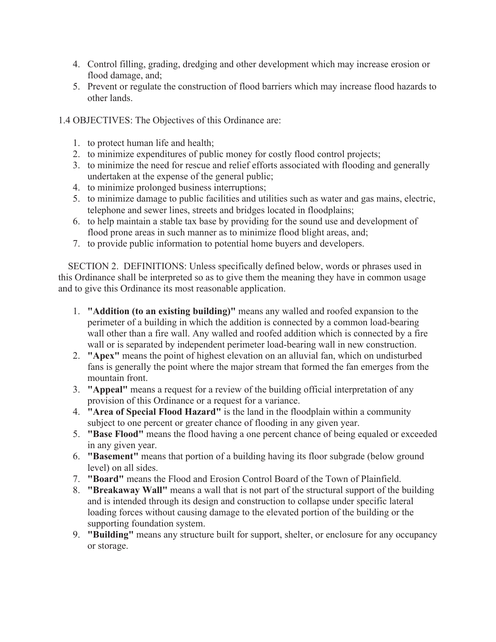- 4. Control filling, grading, dredging and other development which may increase erosion or flood damage, and;
- 5. Prevent or regulate the construction of flood barriers which may increase flood hazards to other lands.
- 1.4 OBJECTIVES: The Objectives of this Ordinance are:
	- 1. to protect human life and health;
	- 2. to minimize expenditures of public money for costly flood control projects;
	- 3. to minimize the need for rescue and relief efforts associated with flooding and generally undertaken at the expense of the general public;
	- 4. to minimize prolonged business interruptions;
	- 5. to minimize damage to public facilities and utilities such as water and gas mains, electric, telephone and sewer lines, streets and bridges located in floodplains;
	- 6. to help maintain a stable tax base by providing for the sound use and development of flood prone areas in such manner as to minimize flood blight areas, and;
	- 7. to provide public information to potential home buyers and developers.

 SECTION 2. DEFINITIONS: Unless specifically defined below, words or phrases used in this Ordinance shall be interpreted so as to give them the meaning they have in common usage and to give this Ordinance its most reasonable application.

- 1. **"Addition (to an existing building)"** means any walled and roofed expansion to the perimeter of a building in which the addition is connected by a common load-bearing wall other than a fire wall. Any walled and roofed addition which is connected by a fire wall or is separated by independent perimeter load-bearing wall in new construction.
- 2. **"Apex"** means the point of highest elevation on an alluvial fan, which on undisturbed fans is generally the point where the major stream that formed the fan emerges from the mountain front.
- 3. **"Appeal"** means a request for a review of the building official interpretation of any provision of this Ordinance or a request for a variance.
- 4. **"Area of Special Flood Hazard"** is the land in the floodplain within a community subject to one percent or greater chance of flooding in any given year.
- 5. **"Base Flood"** means the flood having a one percent chance of being equaled or exceeded in any given year.
- 6. **"Basement"** means that portion of a building having its floor subgrade (below ground level) on all sides.
- 7. **"Board"** means the Flood and Erosion Control Board of the Town of Plainfield.
- 8. **"Breakaway Wall"** means a wall that is not part of the structural support of the building and is intended through its design and construction to collapse under specific lateral loading forces without causing damage to the elevated portion of the building or the supporting foundation system.
- 9. **"Building"** means any structure built for support, shelter, or enclosure for any occupancy or storage.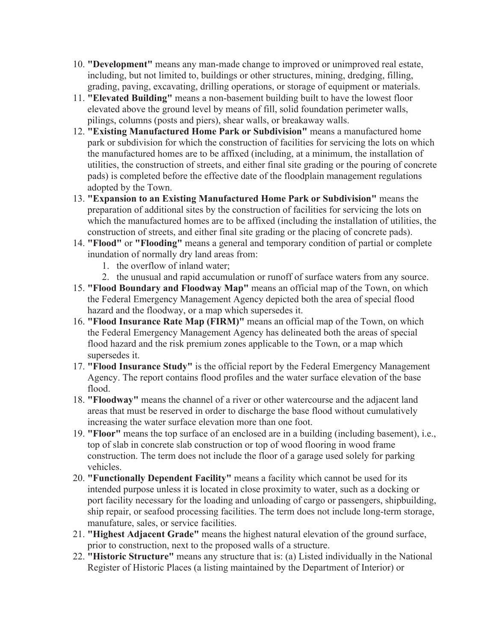- 10. **"Development"** means any man-made change to improved or unimproved real estate, including, but not limited to, buildings or other structures, mining, dredging, filling, grading, paving, excavating, drilling operations, or storage of equipment or materials.
- 11. **"Elevated Building"** means a non-basement building built to have the lowest floor elevated above the ground level by means of fill, solid foundation perimeter walls, pilings, columns (posts and piers), shear walls, or breakaway walls.
- 12. **"Existing Manufactured Home Park or Subdivision"** means a manufactured home park or subdivision for which the construction of facilities for servicing the lots on which the manufactured homes are to be affixed (including, at a minimum, the installation of utilities, the construction of streets, and either final site grading or the pouring of concrete pads) is completed before the effective date of the floodplain management regulations adopted by the Town.
- 13. **"Expansion to an Existing Manufactured Home Park or Subdivision"** means the preparation of additional sites by the construction of facilities for servicing the lots on which the manufactured homes are to be affixed (including the installation of utilities, the construction of streets, and either final site grading or the placing of concrete pads).
- 14. **"Flood"** or **"Flooding"** means a general and temporary condition of partial or complete inundation of normally dry land areas from:
	- 1. the overflow of inland water;
	- 2. the unusual and rapid accumulation or runoff of surface waters from any source.
- 15. **"Flood Boundary and Floodway Map"** means an official map of the Town, on which the Federal Emergency Management Agency depicted both the area of special flood hazard and the floodway, or a map which supersedes it.
- 16. **"Flood Insurance Rate Map (FIRM)"** means an official map of the Town, on which the Federal Emergency Management Agency has delineated both the areas of special flood hazard and the risk premium zones applicable to the Town, or a map which supersedes it.
- 17. **"Flood Insurance Study"** is the official report by the Federal Emergency Management Agency. The report contains flood profiles and the water surface elevation of the base flood.
- 18. **"Floodway"** means the channel of a river or other watercourse and the adjacent land areas that must be reserved in order to discharge the base flood without cumulatively increasing the water surface elevation more than one foot.
- 19. **"Floor"** means the top surface of an enclosed are in a building (including basement), i.e., top of slab in concrete slab construction or top of wood flooring in wood frame construction. The term does not include the floor of a garage used solely for parking vehicles.
- 20. **"Functionally Dependent Facility"** means a facility which cannot be used for its intended purpose unless it is located in close proximity to water, such as a docking or port facility necessary for the loading and unloading of cargo or passengers, shipbuilding, ship repair, or seafood processing facilities. The term does not include long-term storage, manufature, sales, or service facilities.
- 21. **"Highest Adjacent Grade"** means the highest natural elevation of the ground surface, prior to construction, next to the proposed walls of a structure.
- 22. **"Historic Structure"** means any structure that is: (a) Listed individually in the National Register of Historic Places (a listing maintained by the Department of Interior) or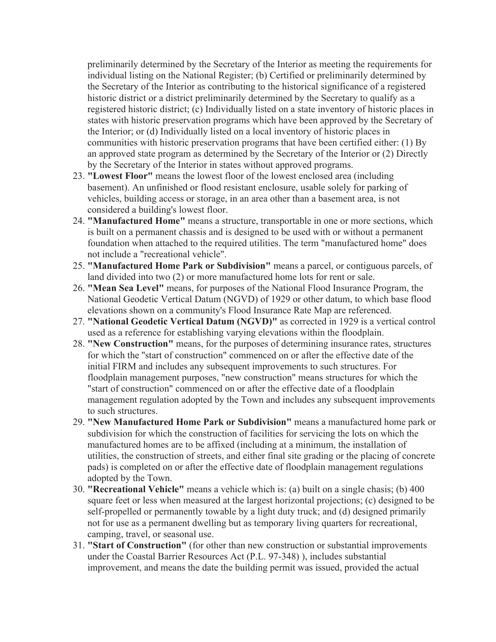preliminarily determined by the Secretary of the Interior as meeting the requirements for individual listing on the National Register; (b) Certified or preliminarily determined by the Secretary of the Interior as contributing to the historical significance of a registered historic district or a district preliminarily determined by the Secretary to qualify as a registered historic district; (c) Individually listed on a state inventory of historic places in states with historic preservation programs which have been approved by the Secretary of the Interior; or (d) Individually listed on a local inventory of historic places in communities with historic preservation programs that have been certified either: (1) By an approved state program as determined by the Secretary of the Interior or (2) Directly by the Secretary of the Interior in states without approved programs.

- 23. **"Lowest Floor"** means the lowest floor of the lowest enclosed area (including basement). An unfinished or flood resistant enclosure, usable solely for parking of vehicles, building access or storage, in an area other than a basement area, is not considered a building's lowest floor.
- 24. **"Manufactured Home"** means a structure, transportable in one or more sections, which is built on a permanent chassis and is designed to be used with or without a permanent foundation when attached to the required utilities. The term "manufactured home" does not include a "recreational vehicle".
- 25. **"Manufactured Home Park or Subdivision"** means a parcel, or contiguous parcels, of land divided into two (2) or more manufactured home lots for rent or sale.
- 26. **"Mean Sea Level"** means, for purposes of the National Flood Insurance Program, the National Geodetic Vertical Datum (NGVD) of 1929 or other datum, to which base flood elevations shown on a community's Flood Insurance Rate Map are referenced.
- 27. **"National Geodetic Vertical Datum (NGVD)"** as corrected in 1929 is a vertical control used as a reference for establishing varying elevations within the floodplain.
- 28. **"New Construction"** means, for the purposes of determining insurance rates, structures for which the ''start of construction" commenced on or after the effective date of the initial FIRM and includes any subsequent improvements to such structures. For floodplain management purposes, "new construction" means structures for which the "start of construction" commenced on or after the effective date of a floodplain management regulation adopted by the Town and includes any subsequent improvements to such structures.
- 29. **"New Manufactured Home Park or Subdivision"** means a manufactured home park or subdivision for which the construction of facilities for servicing the lots on which the manufactured homes are to be affixed (including at a minimum, the installation of utilities, the construction of streets, and either final site grading or the placing of concrete pads) is completed on or after the effective date of floodplain management regulations adopted by the Town.
- 30. **"Recreational Vehicle"** means a vehicle which is: (a) built on a single chasis; (b) 400 square feet or less when measured at the largest horizontal projections; (c) designed to be self-propelled or permanently towable by a light duty truck; and (d) designed primarily not for use as a permanent dwelling but as temporary living quarters for recreational, camping, travel, or seasonal use.
- 31. **"Start of Construction"** (for other than new construction or substantial improvements under the Coastal Barrier Resources Act (P.L. 97-348) ), includes substantial improvement, and means the date the building permit was issued, provided the actual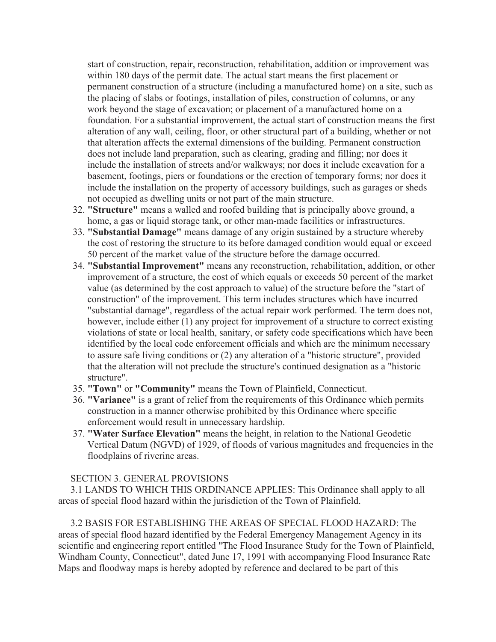start of construction, repair, reconstruction, rehabilitation, addition or improvement was within 180 days of the permit date. The actual start means the first placement or permanent construction of a structure (including a manufactured home) on a site, such as the placing of slabs or footings, installation of piles, construction of columns, or any work beyond the stage of excavation; or placement of a manufactured home on a foundation. For a substantial improvement, the actual start of construction means the first alteration of any wall, ceiling, floor, or other structural part of a building, whether or not that alteration affects the external dimensions of the building. Permanent construction does not include land preparation, such as clearing, grading and filling; nor does it include the installation of streets and/or walkways; nor does it include excavation for a basement, footings, piers or foundations or the erection of temporary forms; nor does it include the installation on the property of accessory buildings, such as garages or sheds not occupied as dwelling units or not part of the main structure.

- 32. **"Structure"** means a walled and roofed building that is principally above ground, a home, a gas or liquid storage tank, or other man-made facilities or infrastructures.
- 33. **"Substantial Damage"** means damage of any origin sustained by a structure whereby the cost of restoring the structure to its before damaged condition would equal or exceed 50 percent of the market value of the structure before the damage occurred.
- 34. **"Substantial Improvement"** means any reconstruction, rehabilitation, addition, or other improvement of a structure, the cost of which equals or exceeds 50 percent of the market value (as determined by the cost approach to value) of the structure before the "start of construction" of the improvement. This term includes structures which have incurred "substantial damage", regardless of the actual repair work performed. The term does not, however, include either (1) any project for improvement of a structure to correct existing violations of state or local health, sanitary, or safety code specifications which have been identified by the local code enforcement officials and which are the minimum necessary to assure safe living conditions or (2) any alteration of a "historic structure", provided that the alteration will not preclude the structure's continued designation as a "historic structure".
- 35. **"Town"** or **"Community"** means the Town of Plainfield, Connecticut.
- 36. **"Variance"** is a grant of relief from the requirements of this Ordinance which permits construction in a manner otherwise prohibited by this Ordinance where specific enforcement would result in unnecessary hardship.
- 37. **"Water Surface Elevation"** means the height, in relation to the National Geodetic Vertical Datum (NGVD) of 1929, of floods of various magnitudes and frequencies in the floodplains of riverine areas.

#### SECTION 3. GENERAL PROVISIONS

 3.1 LANDS TO WHICH THIS ORDINANCE APPLIES: This Ordinance shall apply to all areas of special flood hazard within the jurisdiction of the Town of Plainfield.

 3.2 BASIS FOR ESTABLISHING THE AREAS OF SPECIAL FLOOD HAZARD: The areas of special flood hazard identified by the Federal Emergency Management Agency in its scientific and engineering report entitled "The Flood Insurance Study for the Town of Plainfield, Windham County, Connecticut", dated June 17, 1991 with accompanying Flood Insurance Rate Maps and floodway maps is hereby adopted by reference and declared to be part of this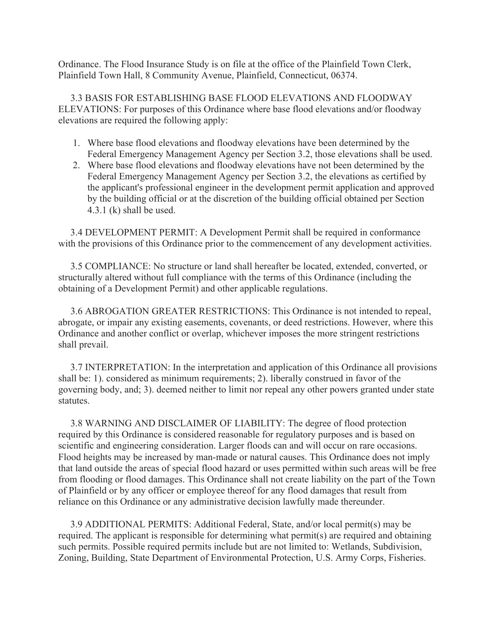Ordinance. The Flood Insurance Study is on file at the office of the Plainfield Town Clerk, Plainfield Town Hall, 8 Community Avenue, Plainfield, Connecticut, 06374.

 3.3 BASIS FOR ESTABLISHING BASE FLOOD ELEVATIONS AND FLOODWAY ELEVATIONS: For purposes of this Ordinance where base flood elevations and/or floodway elevations are required the following apply:

- 1. Where base flood elevations and floodway elevations have been determined by the Federal Emergency Management Agency per Section 3.2, those elevations shall be used.
- 2. Where base flood elevations and floodway elevations have not been determined by the Federal Emergency Management Agency per Section 3.2, the elevations as certified by the applicant's professional engineer in the development permit application and approved by the building official or at the discretion of the building official obtained per Section 4.3.1 (k) shall be used.

 3.4 DEVELOPMENT PERMIT: A Development Permit shall be required in conformance with the provisions of this Ordinance prior to the commencement of any development activities.

 3.5 COMPLIANCE: No structure or land shall hereafter be located, extended, converted, or structurally altered without full compliance with the terms of this Ordinance (including the obtaining of a Development Permit) and other applicable regulations.

 3.6 ABROGATION GREATER RESTRICTIONS: This Ordinance is not intended to repeal, abrogate, or impair any existing easements, covenants, or deed restrictions. However, where this Ordinance and another conflict or overlap, whichever imposes the more stringent restrictions shall prevail.

 3.7 INTERPRETATION: In the interpretation and application of this Ordinance all provisions shall be: 1). considered as minimum requirements; 2). liberally construed in favor of the governing body, and; 3). deemed neither to limit nor repeal any other powers granted under state statutes.

 3.8 WARNING AND DISCLAIMER OF LIABILITY: The degree of flood protection required by this Ordinance is considered reasonable for regulatory purposes and is based on scientific and engineering consideration. Larger floods can and will occur on rare occasions. Flood heights may be increased by man-made or natural causes. This Ordinance does not imply that land outside the areas of special flood hazard or uses permitted within such areas will be free from flooding or flood damages. This Ordinance shall not create liability on the part of the Town of Plainfield or by any officer or employee thereof for any flood damages that result from reliance on this Ordinance or any administrative decision lawfully made thereunder.

 3.9 ADDITIONAL PERMITS: Additional Federal, State, and/or local permit(s) may be required. The applicant is responsible for determining what permit(s) are required and obtaining such permits. Possible required permits include but are not limited to: Wetlands, Subdivision, Zoning, Building, State Department of Environmental Protection, U.S. Army Corps, Fisheries.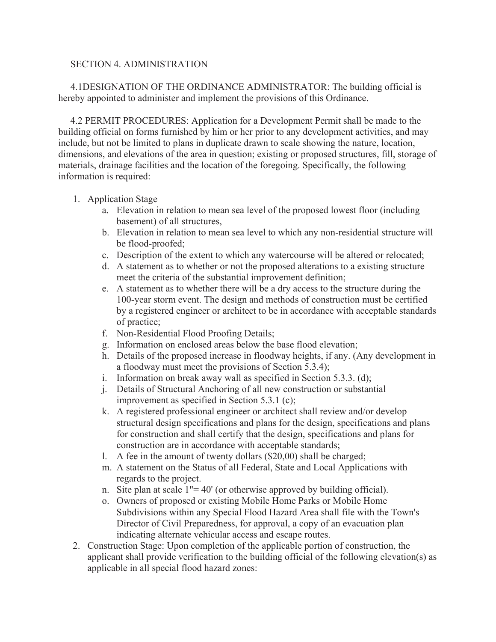#### SECTION 4. ADMINISTRATION

 4.1DESIGNATION OF THE ORDINANCE ADMINISTRATOR: The building official is hereby appointed to administer and implement the provisions of this Ordinance.

 4.2 PERMIT PROCEDURES: Application for a Development Permit shall be made to the building official on forms furnished by him or her prior to any development activities, and may include, but not be limited to plans in duplicate drawn to scale showing the nature, location, dimensions, and elevations of the area in question; existing or proposed structures, fill, storage of materials, drainage facilities and the location of the foregoing. Specifically, the following information is required:

#### 1. Application Stage

- a. Elevation in relation to mean sea level of the proposed lowest floor (including basement) of all structures,
- b. Elevation in relation to mean sea level to which any non-residential structure will be flood-proofed;
- c. Description of the extent to which any watercourse will be altered or relocated;
- d. A statement as to whether or not the proposed alterations to a existing structure meet the criteria of the substantial improvement definition;
- e. A statement as to whether there will be a dry access to the structure during the 100-year storm event. The design and methods of construction must be certified by a registered engineer or architect to be in accordance with acceptable standards of practice;
- f. Non-Residential Flood Proofing Details;
- g. Information on enclosed areas below the base flood elevation;
- h. Details of the proposed increase in floodway heights, if any. (Any development in a floodway must meet the provisions of Section 5.3.4);
- i. Information on break away wall as specified in Section 5.3.3. (d);
- j. Details of Structural Anchoring of all new construction or substantial improvement as specified in Section 5.3.1 (c);
- k. A registered professional engineer or architect shall review and/or develop structural design specifications and plans for the design, specifications and plans for construction and shall certify that the design, specifications and plans for construction are in accordance with acceptable standards;
- l. A fee in the amount of twenty dollars (\$20,00) shall be charged;
- m. A statement on the Status of all Federal, State and Local Applications with regards to the project.
- n. Site plan at scale  $1" = 40'$  (or otherwise approved by building official).
- o. Owners of proposed or existing Mobile Home Parks or Mobile Home Subdivisions within any Special Flood Hazard Area shall file with the Town's Director of Civil Preparedness, for approval, a copy of an evacuation plan indicating alternate vehicular access and escape routes.
- 2. Construction Stage: Upon completion of the applicable portion of construction, the applicant shall provide verification to the building official of the following elevation(s) as applicable in all special flood hazard zones: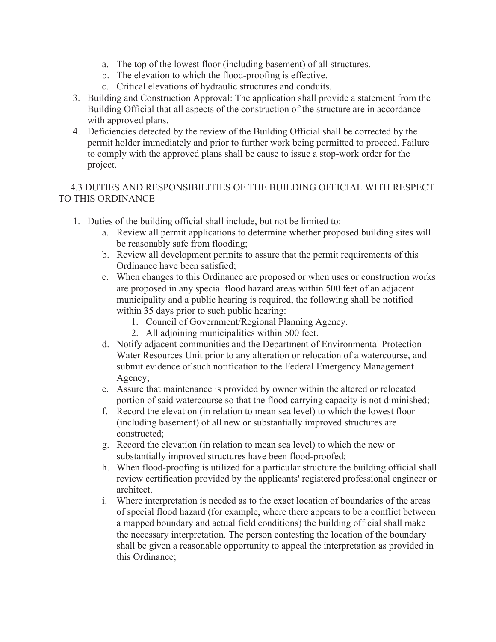- a. The top of the lowest floor (including basement) of all structures.
- b. The elevation to which the flood-proofing is effective.
- c. Critical elevations of hydraulic structures and conduits.
- 3. Building and Construction Approval: The application shall provide a statement from the Building Official that all aspects of the construction of the structure are in accordance with approved plans.
- 4. Deficiencies detected by the review of the Building Official shall be corrected by the permit holder immediately and prior to further work being permitted to proceed. Failure to comply with the approved plans shall be cause to issue a stop-work order for the project.

## 4.3 DUTIES AND RESPONSIBILITIES OF THE BUILDING OFFICIAL WITH RESPECT TO THIS ORDINANCE

- 1. Duties of the building official shall include, but not be limited to:
	- a. Review all permit applications to determine whether proposed building sites will be reasonably safe from flooding;
	- b. Review all development permits to assure that the permit requirements of this Ordinance have been satisfied;
	- c. When changes to this Ordinance are proposed or when uses or construction works are proposed in any special flood hazard areas within 500 feet of an adjacent municipality and a public hearing is required, the following shall be notified within 35 days prior to such public hearing:
		- 1. Council of Government/Regional Planning Agency.
		- 2. All adjoining municipalities within 500 feet.
	- d. Notify adjacent communities and the Department of Environmental Protection Water Resources Unit prior to any alteration or relocation of a watercourse, and submit evidence of such notification to the Federal Emergency Management Agency;
	- e. Assure that maintenance is provided by owner within the altered or relocated portion of said watercourse so that the flood carrying capacity is not diminished;
	- f. Record the elevation (in relation to mean sea level) to which the lowest floor (including basement) of all new or substantially improved structures are constructed;
	- g. Record the elevation (in relation to mean sea level) to which the new or substantially improved structures have been flood-proofed;
	- h. When flood-proofing is utilized for a particular structure the building official shall review certification provided by the applicants' registered professional engineer or architect.
	- i. Where interpretation is needed as to the exact location of boundaries of the areas of special flood hazard (for example, where there appears to be a conflict between a mapped boundary and actual field conditions) the building official shall make the necessary interpretation. The person contesting the location of the boundary shall be given a reasonable opportunity to appeal the interpretation as provided in this Ordinance;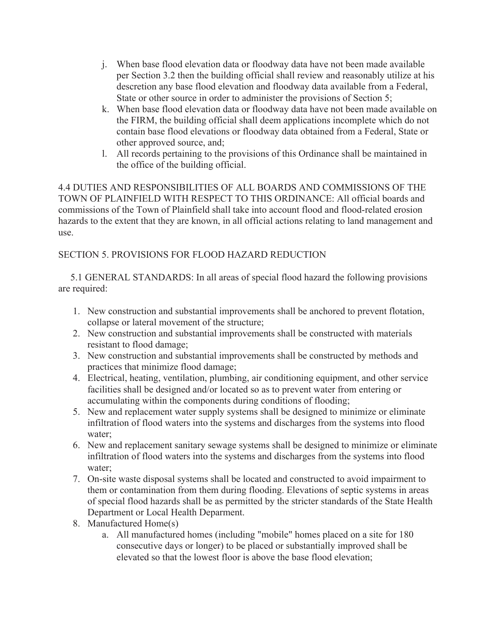- j. When base flood elevation data or floodway data have not been made available per Section 3.2 then the building official shall review and reasonably utilize at his descretion any base flood elevation and floodway data available from a Federal, State or other source in order to administer the provisions of Section 5;
- k. When base flood elevation data or floodway data have not been made available on the FIRM, the building official shall deem applications incomplete which do not contain base flood elevations or floodway data obtained from a Federal, State or other approved source, and;
- l. All records pertaining to the provisions of this Ordinance shall be maintained in the office of the building official.

4.4 DUTIES AND RESPONSIBILITIES OF ALL BOARDS AND COMMISSIONS OF THE TOWN OF PLAINFIELD WITH RESPECT TO THIS ORDINANCE: All official boards and commissions of the Town of Plainfield shall take into account flood and flood-related erosion hazards to the extent that they are known, in all official actions relating to land management and use.

# SECTION 5. PROVISIONS FOR FLOOD HAZARD REDUCTION

 5.1 GENERAL STANDARDS: In all areas of special flood hazard the following provisions are required:

- 1. New construction and substantial improvements shall be anchored to prevent flotation, collapse or lateral movement of the structure;
- 2. New construction and substantial improvements shall be constructed with materials resistant to flood damage;
- 3. New construction and substantial improvements shall be constructed by methods and practices that minimize flood damage;
- 4. Electrical, heating, ventilation, plumbing, air conditioning equipment, and other service facilities shall be designed and/or located so as to prevent water from entering or accumulating within the components during conditions of flooding;
- 5. New and replacement water supply systems shall be designed to minimize or eliminate infiltration of flood waters into the systems and discharges from the systems into flood water;
- 6. New and replacement sanitary sewage systems shall be designed to minimize or eliminate infiltration of flood waters into the systems and discharges from the systems into flood water;
- 7. On-site waste disposal systems shall be located and constructed to avoid impairment to them or contamination from them during flooding. Elevations of septic systems in areas of special flood hazards shall be as permitted by the stricter standards of the State Health Department or Local Health Deparment.
- 8. Manufactured Home(s)
	- a. All manufactured homes (including "mobile" homes placed on a site for 180 consecutive days or longer) to be placed or substantially improved shall be elevated so that the lowest floor is above the base flood elevation;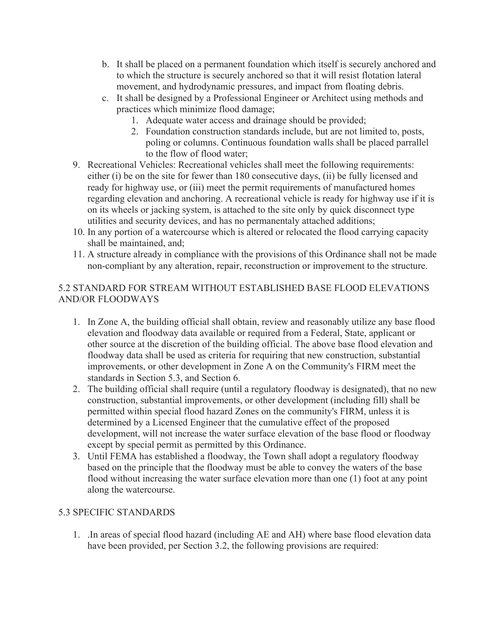- b. It shall be placed on a permanent foundation which itself is securely anchored and to which the structure is securely anchored so that it will resist flotation lateral movement, and hydrodynamic pressures, and impact from floating debris.
- c. It shall be designed by a Professional Engineer or Architect using methods and practices which minimize flood damage;
	- 1. Adequate water access and drainage should be provided;
	- 2. Foundation construction standards include, but are not limited to, posts, poling or columns. Continuous foundation walls shall be placed parrallel to the flow of flood water;
- 9. Recreational Vehicles: Recreational vehicles shall meet the following requirements: either (i) be on the site for fewer than 180 consecutive days, (ii) be fully licensed and ready for highway use, or (iii) meet the permit requirements of manufactured homes regarding elevation and anchoring. A recreational vehicle is ready for highway use if it is on its wheels or jacking system, is attached to the site only by quick disconnect type utilities and security devices, and has no permanentaly attached additions;
- 10. In any portion of a watercourse which is altered or relocated the flood carrying capacity shall be maintained, and;
- 11. A structure already in compliance with the provisions of this Ordinance shall not be made non-compliant by any alteration, repair, reconstruction or improvement to the structure.

## 5.2 STANDARD FOR STREAM WITHOUT ESTABLISHED BASE FLOOD ELEVATIONS AND/OR FLOODWAYS

- 1. In Zone A, the building official shall obtain, review and reasonably utilize any base flood elevation and floodway data available or required from a Federal, State, applicant or other source at the discretion of the building official. The above base flood elevation and floodway data shall be used as criteria for requiring that new construction, substantial improvements, or other development in Zone A on the Community's FIRM meet the standards in Section 5.3, and Section 6.
- 2. The building official shall require (until a regulatory floodway is designated), that no new construction, substantial improvements, or other development (including fill) shall be permitted within special flood hazard Zones on the community's FIRM, unless it is determined by a Licensed Engineer that the cumulative effect of the proposed development, will not increase the water surface elevation of the base flood or floodway except by special permit as permitted by this Ordinance.
- 3. Until FEMA has established a floodway, the Town shall adopt a regulatory floodway based on the principle that the floodway must be able to convey the waters of the base flood without increasing the water surface elevation more than one (1) foot at any point along the watercourse.

### 5.3 SPECIFIC STANDARDS

1. .In areas of special flood hazard (including AE and AH) where base flood elevation data have been provided, per Section 3.2, the following provisions are required: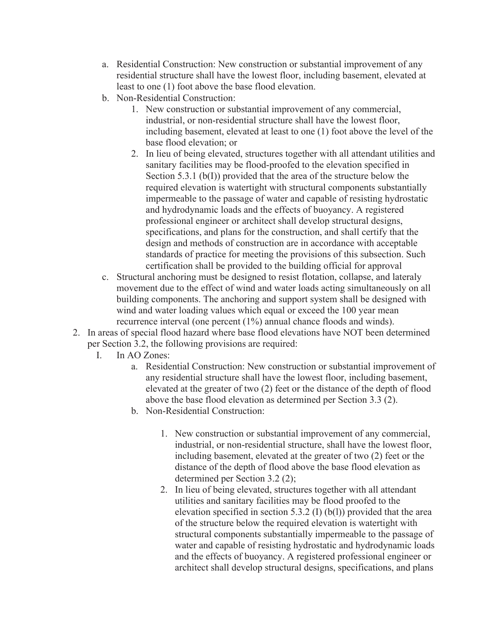- a. Residential Construction: New construction or substantial improvement of any residential structure shall have the lowest floor, including basement, elevated at least to one (1) foot above the base flood elevation.
- b. Non-Residential Construction:
	- 1. New construction or substantial improvement of any commercial, industrial, or non-residential structure shall have the lowest floor, including basement, elevated at least to one (1) foot above the level of the base flood elevation; or
	- 2. In lieu of being elevated, structures together with all attendant utilities and sanitary facilities may be flood-proofed to the elevation specified in Section 5.3.1 (b(I)) provided that the area of the structure below the required elevation is watertight with structural components substantially impermeable to the passage of water and capable of resisting hydrostatic and hydrodynamic loads and the effects of buoyancy. A registered professional engineer or architect shall develop structural designs, specifications, and plans for the construction, and shall certify that the design and methods of construction are in accordance with acceptable standards of practice for meeting the provisions of this subsection. Such certification shall be provided to the building official for approval
- c. Structural anchoring must be designed to resist flotation, collapse, and lateraly movement due to the effect of wind and water loads acting simultaneously on all building components. The anchoring and support system shall be designed with wind and water loading values which equal or exceed the 100 year mean recurrence interval (one percent (1%) annual chance floods and winds).
- 2. In areas of special flood hazard where base flood elevations have NOT been determined per Section 3.2, the following provisions are required:
	- I. In AO Zones:
		- a. Residential Construction: New construction or substantial improvement of any residential structure shall have the lowest floor, including basement, elevated at the greater of two (2) feet or the distance of the depth of flood above the base flood elevation as determined per Section 3.3 (2).
		- b. Non-Residential Construction:
			- 1. New construction or substantial improvement of any commercial, industrial, or non-residential structure, shall have the lowest floor, including basement, elevated at the greater of two (2) feet or the distance of the depth of flood above the base flood elevation as determined per Section 3.2 (2);
			- 2. In lieu of being elevated, structures together with all attendant utilities and sanitary facilities may be flood proofed to the elevation specified in section 5.3.2 (I) (b(l)) provided that the area of the structure below the required elevation is watertight with structural components substantially impermeable to the passage of water and capable of resisting hydrostatic and hydrodynamic loads and the effects of buoyancy. A registered professional engineer or architect shall develop structural designs, specifications, and plans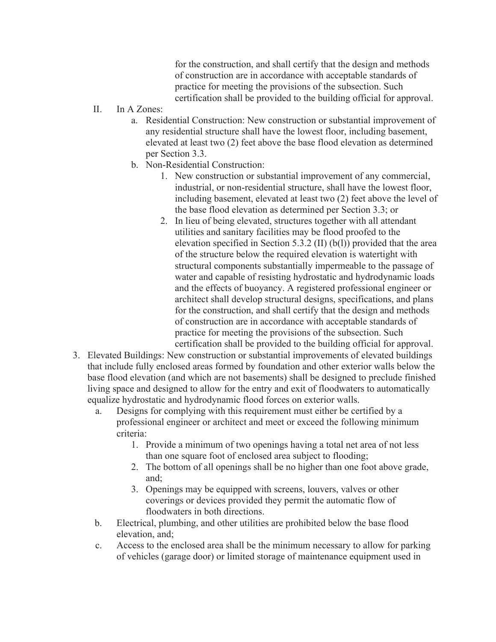for the construction, and shall certify that the design and methods of construction are in accordance with acceptable standards of practice for meeting the provisions of the subsection. Such certification shall be provided to the building official for approval.

- II. In A Zones:
	- a. Residential Construction: New construction or substantial improvement of any residential structure shall have the lowest floor, including basement, elevated at least two (2) feet above the base flood elevation as determined per Section 3.3.
	- b. Non-Residential Construction:
		- 1. New construction or substantial improvement of any commercial, industrial, or non-residential structure, shall have the lowest floor, including basement, elevated at least two (2) feet above the level of the base flood elevation as determined per Section 3.3; or
		- 2. In lieu of being elevated, structures together with all attendant utilities and sanitary facilities may be flood proofed to the elevation specified in Section 5.3.2 (II) (b(l)) provided that the area of the structure below the required elevation is watertight with structural components substantially impermeable to the passage of water and capable of resisting hydrostatic and hydrodynamic loads and the effects of buoyancy. A registered professional engineer or architect shall develop structural designs, specifications, and plans for the construction, and shall certify that the design and methods of construction are in accordance with acceptable standards of practice for meeting the provisions of the subsection. Such certification shall be provided to the building official for approval.
- 3. Elevated Buildings: New construction or substantial improvements of elevated buildings that include fully enclosed areas formed by foundation and other exterior walls below the base flood elevation (and which are not basements) shall be designed to preclude finished living space and designed to allow for the entry and exit of floodwaters to automatically equalize hydrostatic and hydrodynamic flood forces on exterior walls.
	- a. Designs for complying with this requirement must either be certified by a professional engineer or architect and meet or exceed the following minimum criteria:
		- 1. Provide a minimum of two openings having a total net area of not less than one square foot of enclosed area subject to flooding;
		- 2. The bottom of all openings shall be no higher than one foot above grade, and;
		- 3. Openings may be equipped with screens, louvers, valves or other coverings or devices provided they permit the automatic flow of floodwaters in both directions.
	- b. Electrical, plumbing, and other utilities are prohibited below the base flood elevation, and;
	- c. Access to the enclosed area shall be the minimum necessary to allow for parking of vehicles (garage door) or limited storage of maintenance equipment used in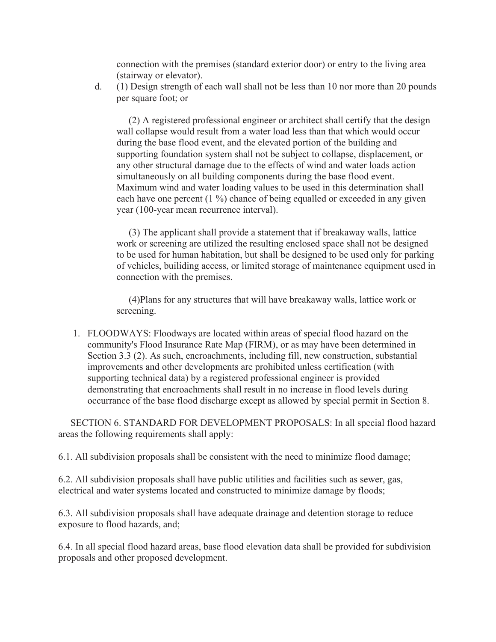connection with the premises (standard exterior door) or entry to the living area (stairway or elevator).

d. (1) Design strength of each wall shall not be less than 10 nor more than 20 pounds per square foot; or

 (2) A registered professional engineer or architect shall certify that the design wall collapse would result from a water load less than that which would occur during the base flood event, and the elevated portion of the building and supporting foundation system shall not be subject to collapse, displacement, or any other structural damage due to the effects of wind and water loads action simultaneously on all building components during the base flood event. Maximum wind and water loading values to be used in this determination shall each have one percent (1 %) chance of being equalled or exceeded in any given year (100-year mean recurrence interval).

 (3) The applicant shall provide a statement that if breakaway walls, lattice work or screening are utilized the resulting enclosed space shall not be designed to be used for human habitation, but shall be designed to be used only for parking of vehicles, builiding access, or limited storage of maintenance equipment used in connection with the premises.

 (4)Plans for any structures that will have breakaway walls, lattice work or screening.

1. FLOODWAYS: Floodways are located within areas of special flood hazard on the community's Flood Insurance Rate Map (FIRM), or as may have been determined in Section 3.3 (2). As such, encroachments, including fill, new construction, substantial improvements and other developments are prohibited unless certification (with supporting technical data) by a registered professional engineer is provided demonstrating that encroachments shall result in no increase in flood levels during occurrance of the base flood discharge except as allowed by special permit in Section 8.

 SECTION 6. STANDARD FOR DEVELOPMENT PROPOSALS: In all special flood hazard areas the following requirements shall apply:

6.1. All subdivision proposals shall be consistent with the need to minimize flood damage;

6.2. All subdivision proposals shall have public utilities and facilities such as sewer, gas, electrical and water systems located and constructed to minimize damage by floods;

6.3. All subdivision proposals shall have adequate drainage and detention storage to reduce exposure to flood hazards, and;

6.4. In all special flood hazard areas, base flood elevation data shall be provided for subdivision proposals and other proposed development.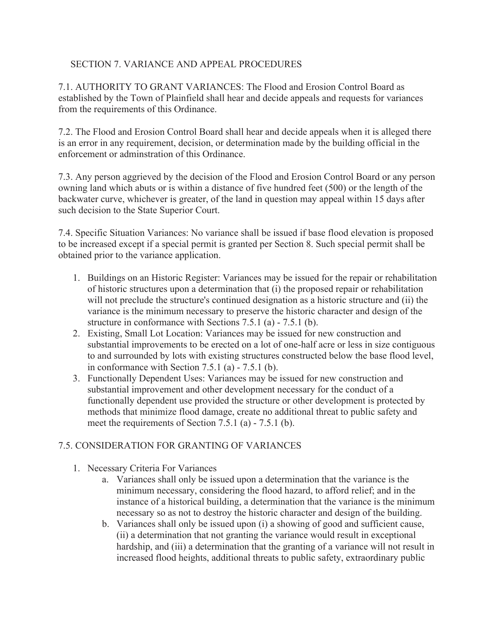### SECTION 7. VARIANCE AND APPEAL PROCEDURES

7.1. AUTHORITY TO GRANT VARIANCES: The Flood and Erosion Control Board as established by the Town of Plainfield shall hear and decide appeals and requests for variances from the requirements of this Ordinance.

7.2. The Flood and Erosion Control Board shall hear and decide appeals when it is alleged there is an error in any requirement, decision, or determination made by the building official in the enforcement or adminstration of this Ordinance.

7.3. Any person aggrieved by the decision of the Flood and Erosion Control Board or any person owning land which abuts or is within a distance of five hundred feet (500) or the length of the backwater curve, whichever is greater, of the land in question may appeal within 15 days after such decision to the State Superior Court.

7.4. Specific Situation Variances: No variance shall be issued if base flood elevation is proposed to be increased except if a special permit is granted per Section 8. Such special permit shall be obtained prior to the variance application.

- 1. Buildings on an Historic Register: Variances may be issued for the repair or rehabilitation of historic structures upon a determination that (i) the proposed repair or rehabilitation will not preclude the structure's continued designation as a historic structure and (ii) the variance is the minimum necessary to preserve the historic character and design of the structure in conformance with Sections 7.5.1 (a) - 7.5.1 (b).
- 2. Existing, Small Lot Location: Variances may be issued for new construction and substantial improvements to be erected on a lot of one-half acre or less in size contiguous to and surrounded by lots with existing structures constructed below the base flood level, in conformance with Section 7.5.1 (a) - 7.5.1 (b).
- 3. Functionally Dependent Uses: Variances may be issued for new construction and substantial improvement and other development necessary for the conduct of a functionally dependent use provided the structure or other development is protected by methods that minimize flood damage, create no additional threat to public safety and meet the requirements of Section 7.5.1 (a) - 7.5.1 (b).

# 7.5. CONSIDERATION FOR GRANTING OF VARIANCES

- 1. Necessary Criteria For Variances
	- a. Variances shall only be issued upon a determination that the variance is the minimum necessary, considering the flood hazard, to afford relief; and in the instance of a historical building, a determination that the variance is the minimum necessary so as not to destroy the historic character and design of the building.
	- b. Variances shall only be issued upon (i) a showing of good and sufficient cause, (ii) a determination that not granting the variance would result in exceptional hardship, and (iii) a determination that the granting of a variance will not result in increased flood heights, additional threats to public safety, extraordinary public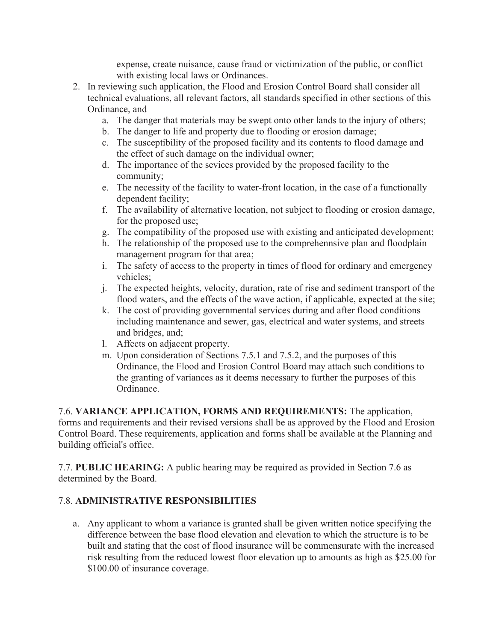expense, create nuisance, cause fraud or victimization of the public, or conflict with existing local laws or Ordinances.

- 2. In reviewing such application, the Flood and Erosion Control Board shall consider all technical evaluations, all relevant factors, all standards specified in other sections of this Ordinance, and
	- a. The danger that materials may be swept onto other lands to the injury of others;
	- b. The danger to life and property due to flooding or erosion damage;
	- c. The susceptibility of the proposed facility and its contents to flood damage and the effect of such damage on the individual owner;
	- d. The importance of the sevices provided by the proposed facility to the community;
	- e. The necessity of the facility to water-front location, in the case of a functionally dependent facility;
	- f. The availability of alternative location, not subject to flooding or erosion damage, for the proposed use;
	- g. The compatibility of the proposed use with existing and anticipated development;
	- h. The relationship of the proposed use to the comprehennsive plan and floodplain management program for that area;
	- i. The safety of access to the property in times of flood for ordinary and emergency vehicles;
	- j. The expected heights, velocity, duration, rate of rise and sediment transport of the flood waters, and the effects of the wave action, if applicable, expected at the site;
	- k. The cost of providing governmental services during and after flood conditions including maintenance and sewer, gas, electrical and water systems, and streets and bridges, and;
	- l. Affects on adjacent property.
	- m. Upon consideration of Sections 7.5.1 and 7.5.2, and the purposes of this Ordinance, the Flood and Erosion Control Board may attach such conditions to the granting of variances as it deems necessary to further the purposes of this Ordinance.

7.6. **VARIANCE APPLICATION, FORMS AND REQUIREMENTS:** The application, forms and requirements and their revised versions shall be as approved by the Flood and Erosion Control Board. These requirements, application and forms shall be available at the Planning and building official's office.

7.7. **PUBLIC HEARING:** A public hearing may be required as provided in Section 7.6 as determined by the Board.

# 7.8. **ADMINISTRATIVE RESPONSIBILITIES**

a. Any applicant to whom a variance is granted shall be given written notice specifying the difference between the base flood elevation and elevation to which the structure is to be built and stating that the cost of flood insurance will be commensurate with the increased risk resulting from the reduced lowest floor elevation up to amounts as high as \$25.00 for \$100.00 of insurance coverage.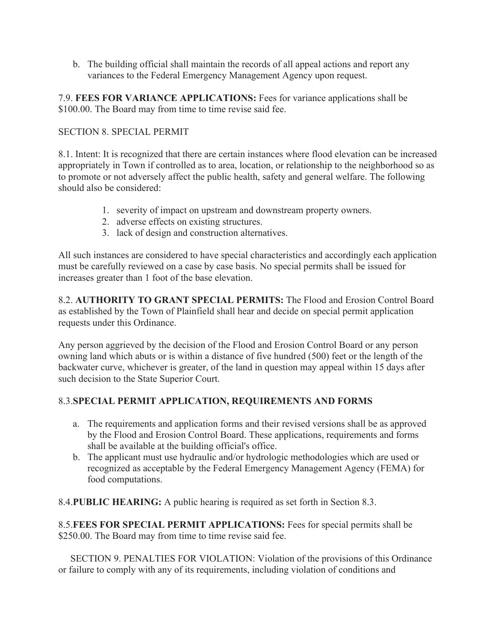b. The building official shall maintain the records of all appeal actions and report any variances to the Federal Emergency Management Agency upon request.

7.9. **FEES FOR VARIANCE APPLICATIONS:** Fees for variance applications shall be \$100.00. The Board may from time to time revise said fee.

### SECTION 8. SPECIAL PERMIT

8.1. Intent: It is recognized that there are certain instances where flood elevation can be increased appropriately in Town if controlled as to area, location, or relationship to the neighborhood so as to promote or not adversely affect the public health, safety and general welfare. The following should also be considered:

- 1. severity of impact on upstream and downstream property owners.
- 2. adverse effects on existing structures.
- 3. lack of design and construction alternatives.

All such instances are considered to have special characteristics and accordingly each application must be carefully reviewed on a case by case basis. No special permits shall be issued for increases greater than 1 foot of the base elevation.

8.2. **AUTHORITY TO GRANT SPECIAL PERMITS:** The Flood and Erosion Control Board as established by the Town of Plainfield shall hear and decide on special permit application requests under this Ordinance.

Any person aggrieved by the decision of the Flood and Erosion Control Board or any person owning land which abuts or is within a distance of five hundred (500) feet or the length of the backwater curve, whichever is greater, of the land in question may appeal within 15 days after such decision to the State Superior Court.

# 8.3.**SPECIAL PERMIT APPLICATION, REQUIREMENTS AND FORMS**

- a. The requirements and application forms and their revised versions shall be as approved by the Flood and Erosion Control Board. These applications, requirements and forms shall be available at the building official's office.
- b. The applicant must use hydraulic and/or hydrologic methodologies which are used or recognized as acceptable by the Federal Emergency Management Agency (FEMA) for food computations.

8.4.**PUBLIC HEARING:** A public hearing is required as set forth in Section 8.3.

8.5.**FEES FOR SPECIAL PERMIT APPLICATIONS:** Fees for special permits shall be \$250.00. The Board may from time to time revise said fee.

 SECTION 9. PENALTIES FOR VIOLATION: Violation of the provisions of this Ordinance or failure to comply with any of its requirements, including violation of conditions and